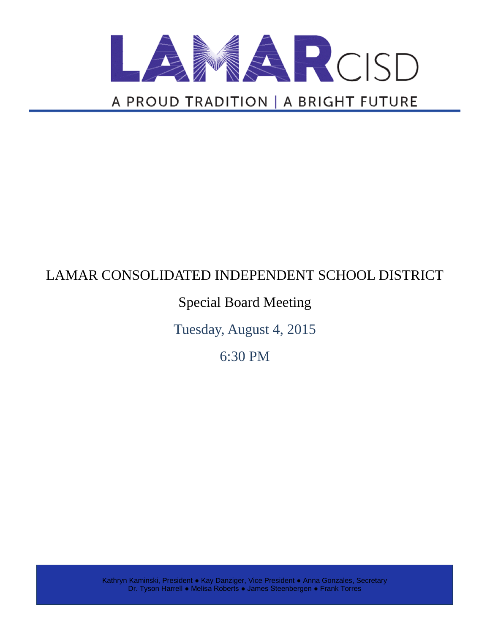

# LAMAR CONSOLIDATED INDEPENDENT SCHOOL DISTRICT

# Special Board Meeting

Tuesday, August 4, 2015

6:30 PM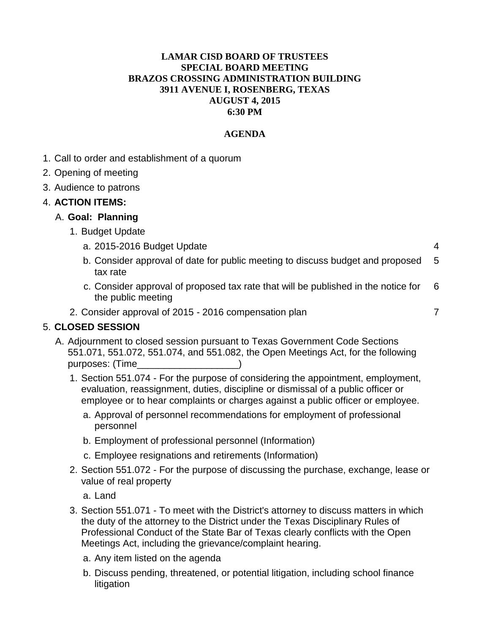#### **LAMAR CISD BOARD OF TRUSTEES SPECIAL BOARD MEETING BRAZOS CROSSING ADMINISTRATION BUILDING 3911 AVENUE I, ROSENBERG, TEXAS AUGUST 4, 2015 6:30 PM**

#### **AGENDA**

- 1. Call to order and establishment of a quorum
- 2. Opening of meeting
- 3. Audience to patrons

#### 4. **ACTION ITEMS:**

#### A. **Goal: Planning**

- 1. Budget Update
	- a. 2015-2016 Budget Update 4
	- b. Consider approval of date for public meeting to discuss budget and proposed tax rate 5
	- c. Consider approval of proposed tax rate that will be published in the notice for the public meeting 6
- 2. Consider approval of 2015 2016 compensation plan 7

#### 5. **CLOSED SESSION**

- A. Adjournment to closed session pursuant to Texas Government Code Sections 551.071, 551.072, 551.074, and 551.082, the Open Meetings Act, for the following purposes: (Time
	- 1. Section 551.074 For the purpose of considering the appointment, employment, evaluation, reassignment, duties, discipline or dismissal of a public officer or employee or to hear complaints or charges against a public officer or employee.
		- a. Approval of personnel recommendations for employment of professional personnel
		- b. Employment of professional personnel (Information)
		- c. Employee resignations and retirements (Information)
	- 2. Section 551.072 For the purpose of discussing the purchase, exchange, lease or value of real property
		- a. Land
	- 3. Section 551.071 To meet with the District's attorney to discuss matters in which the duty of the attorney to the District under the Texas Disciplinary Rules of Professional Conduct of the State Bar of Texas clearly conflicts with the Open Meetings Act, including the grievance/complaint hearing.
		- a. Any item listed on the agenda
		- b. Discuss pending, threatened, or potential litigation, including school finance litigation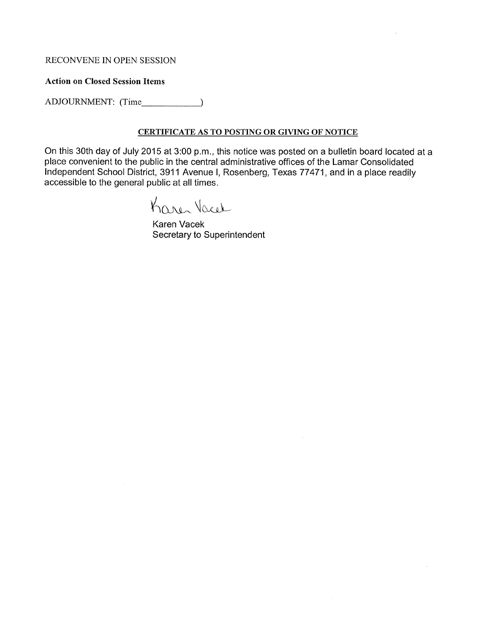#### RECONVENE IN OPEN SESSION

#### **Action on Closed Session Items**

ADJOURNMENT: (Time\_\_\_\_\_\_\_\_\_\_\_\_\_\_)

#### CERTIFICATE AS TO POSTING OR GIVING OF NOTICE

 $\sim$ 

On this 30th day of July 2015 at 3:00 p.m., this notice was posted on a bulletin board located at a place convenient to the public in the central administrative offices of the Lamar Consolidated Independent School District, 3911 Avenue I, Rosenberg, Texas 77471, and in a place readily accessible to the general public at all times.

Karen Vacel

Karen Vacek Secretary to Superintendent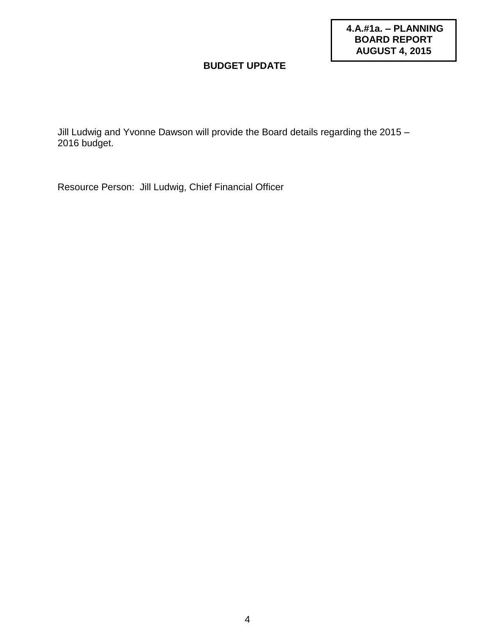**4.A.#1a. – PLANNING BOARD REPORT AUGUST 4, 2015**

### **BUDGET UPDATE**

Jill Ludwig and Yvonne Dawson will provide the Board details regarding the 2015 – 2016 budget.

Resource Person: Jill Ludwig, Chief Financial Officer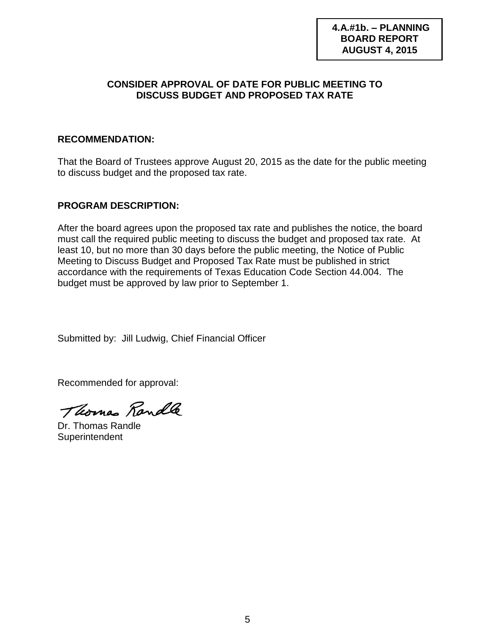#### **4.A.#1b. – PLANNING BOARD REPORT AUGUST 4, 2015**

#### **CONSIDER APPROVAL OF DATE FOR PUBLIC MEETING TO DISCUSS BUDGET AND PROPOSED TAX RATE**

#### **RECOMMENDATION:**

That the Board of Trustees approve August 20, 2015 as the date for the public meeting to discuss budget and the proposed tax rate.

#### **PROGRAM DESCRIPTION:**

After the board agrees upon the proposed tax rate and publishes the notice, the board must call the required public meeting to discuss the budget and proposed tax rate. At least 10, but no more than 30 days before the public meeting, the Notice of Public Meeting to Discuss Budget and Proposed Tax Rate must be published in strict accordance with the requirements of Texas Education Code Section 44.004. The budget must be approved by law prior to September 1.

Submitted by: Jill Ludwig, Chief Financial Officer

Recommended for approval:

Thomas Randle

Dr. Thomas Randle **Superintendent**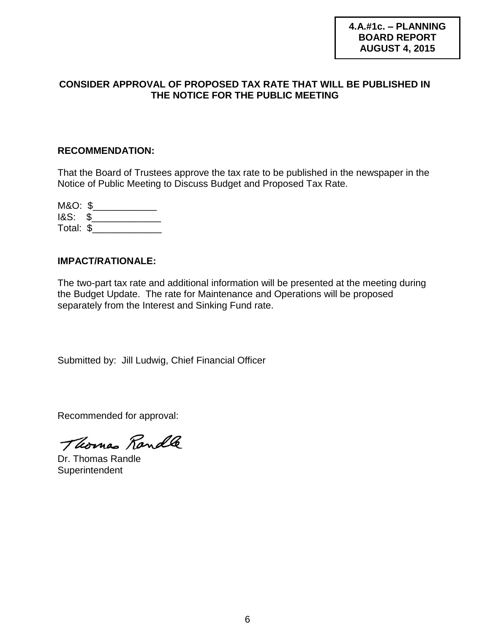#### **CONSIDER APPROVAL OF PROPOSED TAX RATE THAT WILL BE PUBLISHED IN THE NOTICE FOR THE PUBLIC MEETING**

#### **RECOMMENDATION:**

That the Board of Trustees approve the tax rate to be published in the newspaper in the Notice of Public Meeting to Discuss Budget and Proposed Tax Rate.

| M&O: \$   |  |
|-----------|--|
| $18S:$ \$ |  |
| Total: \$ |  |

### **IMPACT/RATIONALE:**

The two-part tax rate and additional information will be presented at the meeting during the Budget Update. The rate for Maintenance and Operations will be proposed separately from the Interest and Sinking Fund rate.

Submitted by: Jill Ludwig, Chief Financial Officer

Recommended for approval:

Thomas Randle

Dr. Thomas Randle **Superintendent**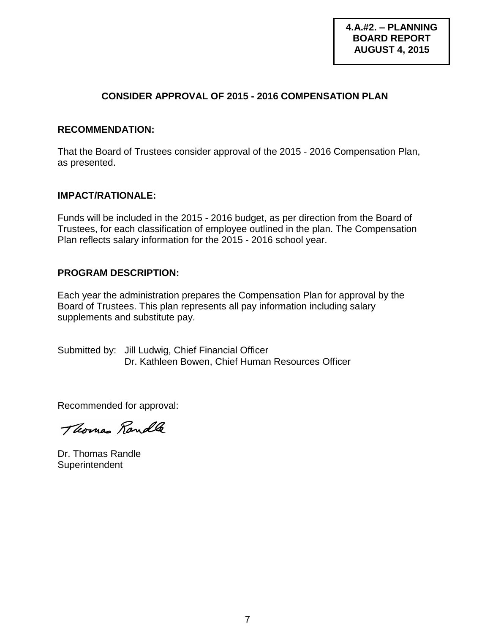### **CONSIDER APPROVAL OF 2015 - 2016 COMPENSATION PLAN**

#### **RECOMMENDATION:**

That the Board of Trustees consider approval of the 2015 - 2016 Compensation Plan, as presented.

#### **IMPACT/RATIONALE:**

Funds will be included in the 2015 - 2016 budget, as per direction from the Board of Trustees, for each classification of employee outlined in the plan. The Compensation Plan reflects salary information for the 2015 - 2016 school year.

#### **PROGRAM DESCRIPTION:**

Each year the administration prepares the Compensation Plan for approval by the Board of Trustees. This plan represents all pay information including salary supplements and substitute pay.

Submitted by: Jill Ludwig, Chief Financial Officer Dr. Kathleen Bowen, Chief Human Resources Officer

Recommended for approval:

Thomas Randle

Dr. Thomas Randle **Superintendent**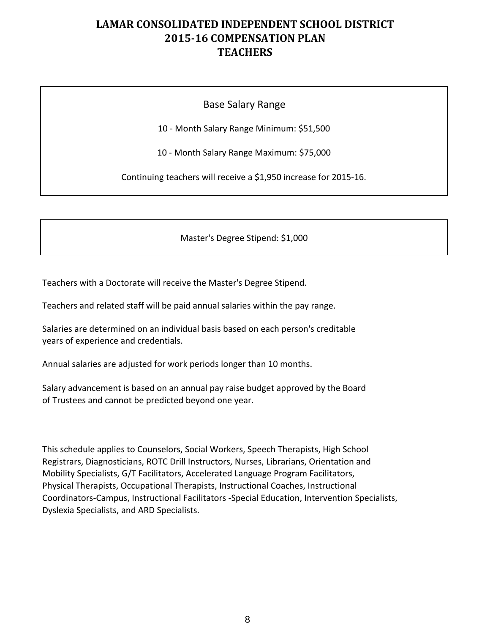#### Base Salary Range

10 ‐ Month Salary Range Minimum: \$51,500

10 ‐ Month Salary Range Maximum: \$75,000

Continuing teachers will receive a \$1,950 increase for 2015‐16.

Master's Degree Stipend: \$1,000

Teachers with a Doctorate will receive the Master's Degree Stipend.

Teachers and related staff will be paid annual salaries within the pay range.

Salaries are determined on an individual basis based on each person's creditable years of experience and credentials.

Annual salaries are adjusted for work periods longer than 10 months.

Salary advancement is based on an annual pay raise budget approved by the Board of Trustees and cannot be predicted beyond one year.

This schedule applies to Counselors, Social Workers, Speech Therapists, High School Registrars, Diagnosticians, ROTC Drill Instructors, Nurses, Librarians, Orientation and Mobility Specialists, G/T Facilitators, Accelerated Language Program Facilitators, Physical Therapists, Occupational Therapists, Instructional Coaches, Instructional Coordinators‐Campus, Instructional Facilitators ‐Special Education, Intervention Specialists, Dyslexia Specialists, and ARD Specialists.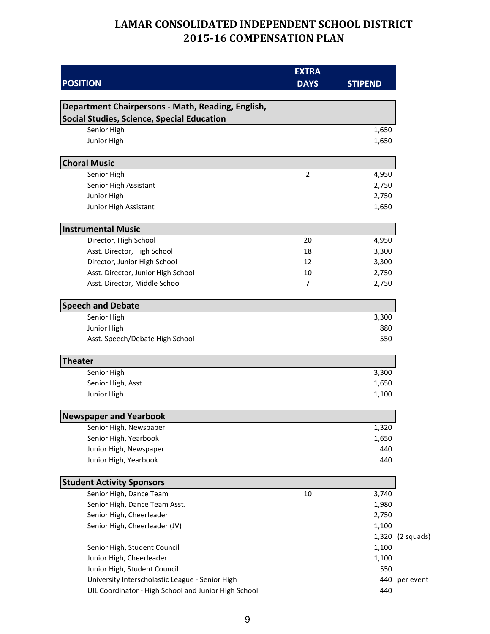|                                                                  | <b>EXTRA</b>   |                |            |
|------------------------------------------------------------------|----------------|----------------|------------|
| <b>POSITION</b>                                                  | <b>DAYS</b>    | <b>STIPEND</b> |            |
|                                                                  |                |                |            |
| Department Chairpersons - Math, Reading, English,                |                |                |            |
| <b>Social Studies, Science, Special Education</b><br>Senior High |                | 1,650          |            |
| Junior High                                                      |                | 1,650          |            |
|                                                                  |                |                |            |
| <b>Choral Music</b>                                              |                |                |            |
| Senior High                                                      | $\overline{2}$ | 4,950          |            |
| Senior High Assistant                                            |                | 2,750          |            |
| Junior High                                                      |                | 2,750          |            |
| Junior High Assistant                                            |                | 1,650          |            |
| <b>Instrumental Music</b>                                        |                |                |            |
| Director, High School                                            | 20             | 4,950          |            |
| Asst. Director, High School                                      | 18             | 3,300          |            |
| Director, Junior High School                                     | 12             | 3,300          |            |
| Asst. Director, Junior High School                               | 10             | 2,750          |            |
| Asst. Director, Middle School                                    | 7              | 2,750          |            |
| <b>Speech and Debate</b>                                         |                |                |            |
| Senior High                                                      |                | 3,300          |            |
| Junior High                                                      |                | 880            |            |
| Asst. Speech/Debate High School                                  |                | 550            |            |
| <b>Theater</b>                                                   |                |                |            |
| Senior High                                                      |                | 3,300          |            |
| Senior High, Asst                                                |                | 1,650          |            |
| Junior High                                                      |                | 1,100          |            |
| <b>Newspaper and Yearbook</b>                                    |                |                |            |
| Senior High, Newspaper                                           |                | 1,320          |            |
| Senior High, Yearbook                                            |                | 1,650          |            |
| Junior High, Newspaper                                           |                | 440            |            |
| Junior High, Yearbook                                            |                | 440            |            |
| <b>Student Activity Sponsors</b>                                 |                |                |            |
| Senior High, Dance Team                                          | 10             | 3,740          |            |
| Senior High, Dance Team Asst.                                    |                | 1,980          |            |
| Senior High, Cheerleader                                         |                | 2,750          |            |
| Senior High, Cheerleader (JV)                                    |                | 1,100          |            |
|                                                                  |                | 1,320          | (2 squads) |
| Senior High, Student Council                                     |                | 1,100          |            |
| Junior High, Cheerleader                                         |                | 1,100          |            |
| Junior High, Student Council                                     |                | 550            |            |
| University Interscholastic League - Senior High                  |                | 440            | per event  |
| UIL Coordinator - High School and Junior High School             |                | 440            |            |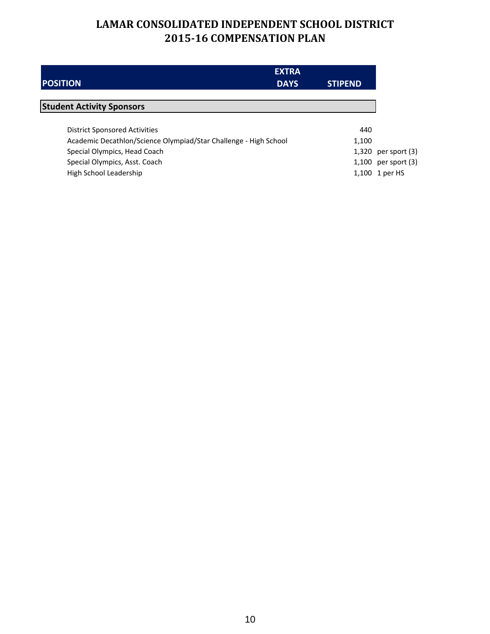|                                                                  | <b>EXTRA</b> |                |                         |
|------------------------------------------------------------------|--------------|----------------|-------------------------|
| <b>POSITION</b>                                                  | <b>DAYS</b>  | <b>STIPEND</b> |                         |
| <b>Student Activity Sponsors</b>                                 |              |                |                         |
| <b>District Sponsored Activities</b>                             |              | 440            |                         |
| Academic Decathlon/Science Olympiad/Star Challenge - High School |              | 1,100          |                         |
| Special Olympics, Head Coach                                     |              | 1,320          | per sport (3)           |
| Special Olympics, Asst. Coach                                    |              |                | $1,100$ per sport $(3)$ |
| High School Leadership                                           |              |                | 1,100 1 per HS          |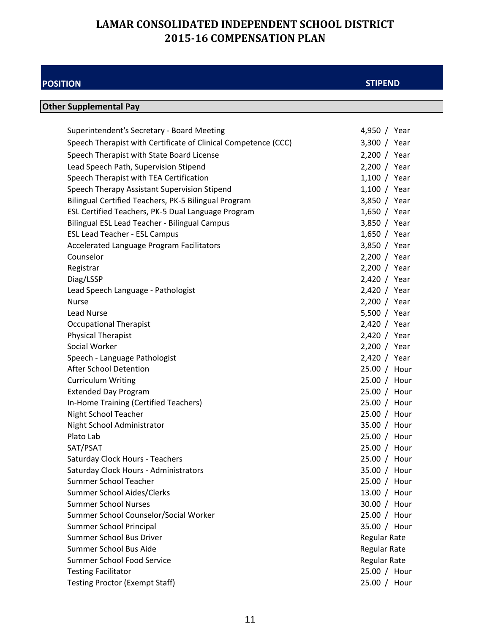#### **POSITION**

**Other Supplemental Pay**

#### **STIPEND**

| Superintendent's Secretary - Board Meeting                     | 4,950 / Year          |
|----------------------------------------------------------------|-----------------------|
| Speech Therapist with Certificate of Clinical Competence (CCC) | 3,300 / Year          |
| Speech Therapist with State Board License                      | 2,200 / Year          |
| Lead Speech Path, Supervision Stipend                          | 2,200 / Year          |
| Speech Therapist with TEA Certification                        | 1,100 / Year          |
| Speech Therapy Assistant Supervision Stipend                   | 1,100 / Year          |
| Bilingual Certified Teachers, PK-5 Bilingual Program           | $3,850 / \text{Year}$ |
| ESL Certified Teachers, PK-5 Dual Language Program             | 1,650 / Year          |
| Bilingual ESL Lead Teacher - Bilingual Campus                  | 3,850 / Year          |
| <b>ESL Lead Teacher - ESL Campus</b>                           | 1,650 / Year          |
| Accelerated Language Program Facilitators                      | $3,850 / \text{Year}$ |
| Counselor                                                      | 2,200 / Year          |
| Registrar                                                      | $2,200 / \text{Year}$ |
| Diag/LSSP                                                      | 2,420 / Year          |
| Lead Speech Language - Pathologist                             | 2,420 / Year          |
| <b>Nurse</b>                                                   | $2,200 / \text{Year}$ |
| <b>Lead Nurse</b>                                              | 5,500 / Year          |
| <b>Occupational Therapist</b>                                  | 2,420 / Year          |
| <b>Physical Therapist</b>                                      | 2,420 / Year          |
| Social Worker                                                  | 2,200 / Year          |
| Speech - Language Pathologist                                  | $2,420 / \text{Year}$ |
| <b>After School Detention</b>                                  | 25.00 / Hour          |
| <b>Curriculum Writing</b>                                      | 25.00 / Hour          |
| <b>Extended Day Program</b>                                    | 25.00 / Hour          |
| In-Home Training (Certified Teachers)                          | 25.00 / Hour          |
| Night School Teacher                                           | 25.00 / Hour          |
| Night School Administrator                                     | 35.00 / Hour          |
| Plato Lab                                                      | 25.00 / Hour          |
| SAT/PSAT                                                       | 25.00 / Hour          |
| Saturday Clock Hours - Teachers                                | 25.00 / Hour          |
| Saturday Clock Hours - Administrators                          | 35.00 / Hour          |
| <b>Summer School Teacher</b>                                   | 25.00 / Hour          |
| Summer School Aides/Clerks                                     | 13.00 / Hour          |
| <b>Summer School Nurses</b>                                    | 30.00 / Hour          |
| Summer School Counselor/Social Worker                          | 25.00 / Hour          |
| Summer School Principal                                        | 35.00 / Hour          |
| Summer School Bus Driver                                       | Regular Rate          |
| Summer School Bus Aide                                         | Regular Rate          |
| <b>Summer School Food Service</b>                              | Regular Rate          |
| <b>Testing Facilitator</b>                                     | 25.00 / Hour          |
| <b>Testing Proctor (Exempt Staff)</b>                          | 25.00 / Hour          |
|                                                                |                       |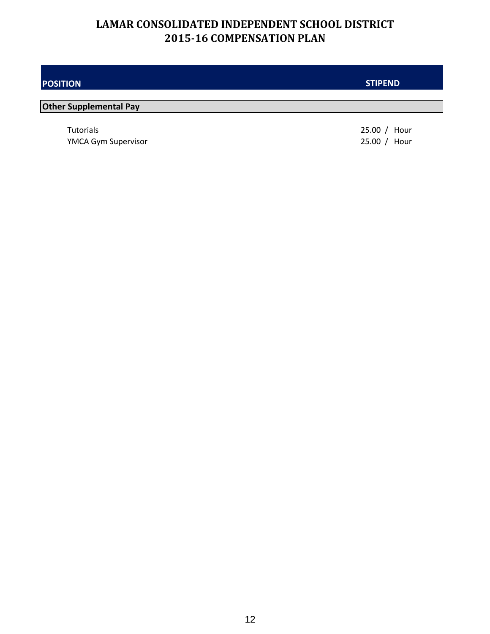#### **POSITION**

#### **STIPEND**

### **Other Supplemental Pay**

Tutorials 25.00 / Hour<br>  $\frac{25.00}{1}$  Hour<br>  $\frac{25.00}{1}$  Hour YMCA Gym Supervisor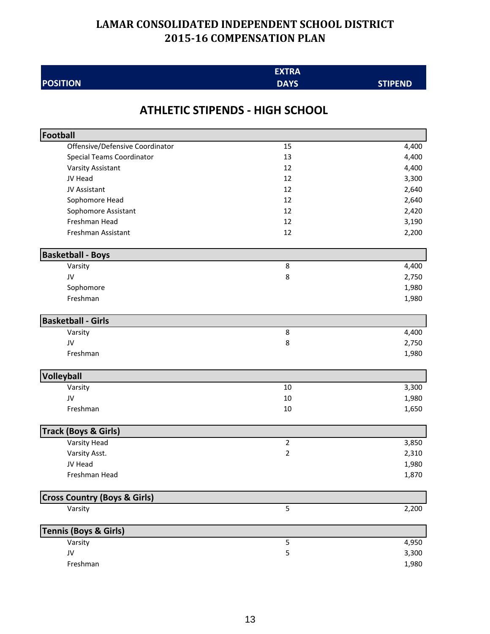| <b>POSITION</b> |  |  |
|-----------------|--|--|
|                 |  |  |
|                 |  |  |

**EXTRA**

**DAYS** STIPEND

### **ATHLETIC STIPENDS ‐ HIGH SCHOOL**

| Football                                |                |       |
|-----------------------------------------|----------------|-------|
| Offensive/Defensive Coordinator         | 15             | 4,400 |
| <b>Special Teams Coordinator</b>        | 13             | 4,400 |
| <b>Varsity Assistant</b>                | 12             | 4,400 |
| JV Head                                 | 12             | 3,300 |
| JV Assistant                            | 12             | 2,640 |
| Sophomore Head                          | 12             | 2,640 |
| Sophomore Assistant                     | 12             | 2,420 |
| Freshman Head                           | 12             | 3,190 |
| Freshman Assistant                      | 12             | 2,200 |
| <b>Basketball - Boys</b>                |                |       |
| Varsity                                 | 8              | 4,400 |
| JV                                      | 8              | 2,750 |
| Sophomore                               |                | 1,980 |
| Freshman                                |                | 1,980 |
| <b>Basketball - Girls</b>               |                |       |
| Varsity                                 | 8              | 4,400 |
| JV                                      | 8              | 2,750 |
| Freshman                                |                | 1,980 |
| Volleyball                              |                |       |
| Varsity                                 | 10             | 3,300 |
| JV                                      | 10             | 1,980 |
| Freshman                                | 10             | 1,650 |
| <b>Track (Boys &amp; Girls)</b>         |                |       |
| Varsity Head                            | $\overline{2}$ | 3,850 |
| Varsity Asst.                           | $\overline{2}$ | 2,310 |
| JV Head                                 |                | 1,980 |
| Freshman Head                           |                | 1,870 |
| <b>Cross Country (Boys &amp; Girls)</b> |                |       |
| Varsity                                 | 5              | 2,200 |
| <b>Tennis (Boys &amp; Girls)</b>        |                |       |
| Varsity                                 | 5              | 4,950 |
| JV                                      | 5              | 3,300 |
| Freshman                                |                | 1,980 |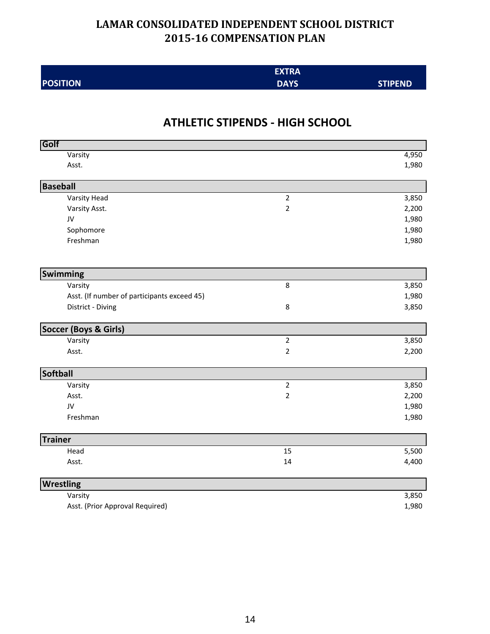|                 | <b>EXTRA</b> |                |
|-----------------|--------------|----------------|
| <b>POSITION</b> | <b>DAYS</b>  | <b>STIPEND</b> |

### **ATHLETIC STIPENDS ‐ HIGH SCHOOL**

| Golf                                        |                |       |
|---------------------------------------------|----------------|-------|
| Varsity                                     |                | 4,950 |
| Asst.                                       |                | 1,980 |
| <b>Baseball</b>                             |                |       |
| <b>Varsity Head</b>                         | $\overline{2}$ | 3,850 |
| Varsity Asst.                               | $\overline{2}$ | 2,200 |
| JV                                          |                | 1,980 |
| Sophomore                                   |                | 1,980 |
| Freshman                                    |                | 1,980 |
| <b>Swimming</b>                             |                |       |
| Varsity                                     | 8              | 3,850 |
| Asst. (If number of participants exceed 45) |                | 1,980 |
| District - Diving                           | $\bf 8$        | 3,850 |
|                                             |                |       |
| Soccer (Boys & Girls)                       |                |       |
| Varsity                                     | $\mathbf 2$    | 3,850 |
| Asst.                                       | $\overline{2}$ | 2,200 |
| <b>Softball</b>                             |                |       |
| Varsity                                     | $\mathbf 2$    | 3,850 |
| Asst.                                       | $\overline{2}$ | 2,200 |
| JV                                          |                | 1,980 |
| Freshman                                    |                | 1,980 |
| Trainer                                     |                |       |
| Head                                        | 15             | 5,500 |
| Asst.                                       | 14             | 4,400 |
| <b>Wrestling</b>                            |                |       |
| Varsity                                     |                | 3,850 |
| Asst. (Prior Approval Required)             |                | 1,980 |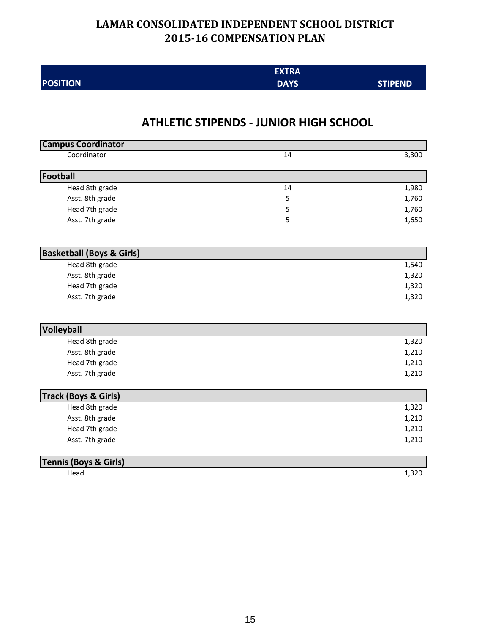|                 | <b>EXTRA</b> |                |
|-----------------|--------------|----------------|
| <b>POSITION</b> | <b>DAYS</b>  | <b>STIPEND</b> |

### **ATHLETIC STIPENDS ‐ JUNIOR HIGH SCHOOL**

| 3,300<br>Coordinator<br>14<br>Football<br>1,980<br>Head 8th grade<br>14<br>Asst. 8th grade<br>5<br>1,760<br>Head 7th grade<br>1,760<br>5<br>Asst. 7th grade<br>5<br>1,650<br><b>Basketball (Boys &amp; Girls)</b><br>1,540<br>Head 8th grade<br>Asst. 8th grade<br>1,320<br>Head 7th grade<br>1,320<br>Asst. 7th grade<br>1,320<br>Volleyball<br>Head 8th grade<br>1,320<br>Asst. 8th grade<br>1,210<br>Head 7th grade<br>1,210<br>1,210<br>Asst. 7th grade<br><b>Track (Boys &amp; Girls)</b><br>1,320<br>Head 8th grade<br>Asst. 8th grade<br>1,210<br>Head 7th grade<br>1,210<br>1,210<br>Asst. 7th grade<br><b>Tennis (Boys &amp; Girls)</b><br>1,320<br>Head | <b>Campus Coordinator</b> |  |
|-------------------------------------------------------------------------------------------------------------------------------------------------------------------------------------------------------------------------------------------------------------------------------------------------------------------------------------------------------------------------------------------------------------------------------------------------------------------------------------------------------------------------------------------------------------------------------------------------------------------------------------------------------------------|---------------------------|--|
|                                                                                                                                                                                                                                                                                                                                                                                                                                                                                                                                                                                                                                                                   |                           |  |
|                                                                                                                                                                                                                                                                                                                                                                                                                                                                                                                                                                                                                                                                   |                           |  |
|                                                                                                                                                                                                                                                                                                                                                                                                                                                                                                                                                                                                                                                                   |                           |  |
|                                                                                                                                                                                                                                                                                                                                                                                                                                                                                                                                                                                                                                                                   |                           |  |
|                                                                                                                                                                                                                                                                                                                                                                                                                                                                                                                                                                                                                                                                   |                           |  |
|                                                                                                                                                                                                                                                                                                                                                                                                                                                                                                                                                                                                                                                                   |                           |  |
|                                                                                                                                                                                                                                                                                                                                                                                                                                                                                                                                                                                                                                                                   |                           |  |
|                                                                                                                                                                                                                                                                                                                                                                                                                                                                                                                                                                                                                                                                   |                           |  |
|                                                                                                                                                                                                                                                                                                                                                                                                                                                                                                                                                                                                                                                                   |                           |  |
|                                                                                                                                                                                                                                                                                                                                                                                                                                                                                                                                                                                                                                                                   |                           |  |
|                                                                                                                                                                                                                                                                                                                                                                                                                                                                                                                                                                                                                                                                   |                           |  |
|                                                                                                                                                                                                                                                                                                                                                                                                                                                                                                                                                                                                                                                                   |                           |  |
|                                                                                                                                                                                                                                                                                                                                                                                                                                                                                                                                                                                                                                                                   |                           |  |
|                                                                                                                                                                                                                                                                                                                                                                                                                                                                                                                                                                                                                                                                   |                           |  |
|                                                                                                                                                                                                                                                                                                                                                                                                                                                                                                                                                                                                                                                                   |                           |  |
|                                                                                                                                                                                                                                                                                                                                                                                                                                                                                                                                                                                                                                                                   |                           |  |
|                                                                                                                                                                                                                                                                                                                                                                                                                                                                                                                                                                                                                                                                   |                           |  |
|                                                                                                                                                                                                                                                                                                                                                                                                                                                                                                                                                                                                                                                                   |                           |  |
|                                                                                                                                                                                                                                                                                                                                                                                                                                                                                                                                                                                                                                                                   |                           |  |
|                                                                                                                                                                                                                                                                                                                                                                                                                                                                                                                                                                                                                                                                   |                           |  |
|                                                                                                                                                                                                                                                                                                                                                                                                                                                                                                                                                                                                                                                                   |                           |  |
|                                                                                                                                                                                                                                                                                                                                                                                                                                                                                                                                                                                                                                                                   |                           |  |
|                                                                                                                                                                                                                                                                                                                                                                                                                                                                                                                                                                                                                                                                   |                           |  |
|                                                                                                                                                                                                                                                                                                                                                                                                                                                                                                                                                                                                                                                                   |                           |  |
|                                                                                                                                                                                                                                                                                                                                                                                                                                                                                                                                                                                                                                                                   |                           |  |
|                                                                                                                                                                                                                                                                                                                                                                                                                                                                                                                                                                                                                                                                   |                           |  |
|                                                                                                                                                                                                                                                                                                                                                                                                                                                                                                                                                                                                                                                                   |                           |  |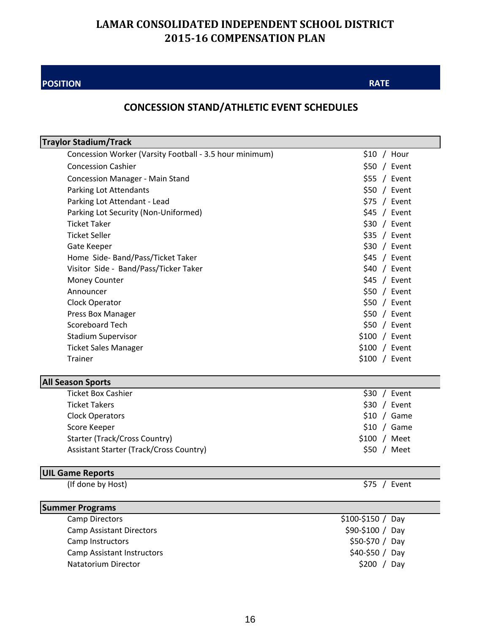#### **POSITION**

#### **RATE**

### **CONCESSION STAND/ATHLETIC EVENT SCHEDULES**

| <b>Traylor Stadium/Track</b>                            |                   |
|---------------------------------------------------------|-------------------|
| Concession Worker (Varsity Football - 3.5 hour minimum) | $$10 /$ Hour      |
| <b>Concession Cashier</b>                               | $$50 /$ Event     |
| <b>Concession Manager - Main Stand</b>                  | $$55 /$ Event     |
| Parking Lot Attendants                                  | $$50 /$ Event     |
| Parking Lot Attendant - Lead                            | $$75$ / Event     |
| Parking Lot Security (Non-Uniformed)                    | $$45 /$ Event     |
| <b>Ticket Taker</b>                                     | \$30 / Event      |
| <b>Ticket Seller</b>                                    | $$35 /$ Event     |
| Gate Keeper                                             | \$30 / Event      |
| Home Side-Band/Pass/Ticket Taker                        | $$45 /$ Event     |
| Visitor Side - Band/Pass/Ticker Taker                   | $$40 /$ Event     |
| Money Counter                                           | $$45 /$ Event     |
| Announcer                                               | $$50$ / Event     |
| Clock Operator                                          | \$50 / Event      |
| Press Box Manager                                       | \$50 / Event      |
| <b>Scoreboard Tech</b>                                  | $$50 /$ Event     |
| <b>Stadium Supervisor</b>                               | $$100 /$ Event    |
| <b>Ticket Sales Manager</b>                             | $$100 /$ Event    |
| Trainer                                                 | \$100 / Event     |
| <b>All Season Sports</b>                                |                   |
| <b>Ticket Box Cashier</b>                               | $$30 /$ Event     |
| <b>Ticket Takers</b>                                    | \$30 / Event      |
| <b>Clock Operators</b>                                  | $$10 /$ Game      |
| Score Keeper                                            | $$10 /$ Game      |
| <b>Starter (Track/Cross Country)</b>                    | \$100 / Meet      |
| <b>Assistant Starter (Track/Cross Country)</b>          | \$50 / Meet       |
| <b>UIL Game Reports</b>                                 |                   |
| (If done by Host)                                       | $$75$ / Event     |
|                                                         |                   |
| <b>Summer Programs</b>                                  |                   |
| <b>Camp Directors</b>                                   | $$100-$150 / Day$ |
| <b>Camp Assistant Directors</b>                         | \$90-\$100 / Day  |
| Camp Instructors                                        | \$50-\$70 / Day   |
| <b>Camp Assistant Instructors</b>                       | \$40-\$50 / Day   |
| Natatorium Director                                     | \$200 / Day       |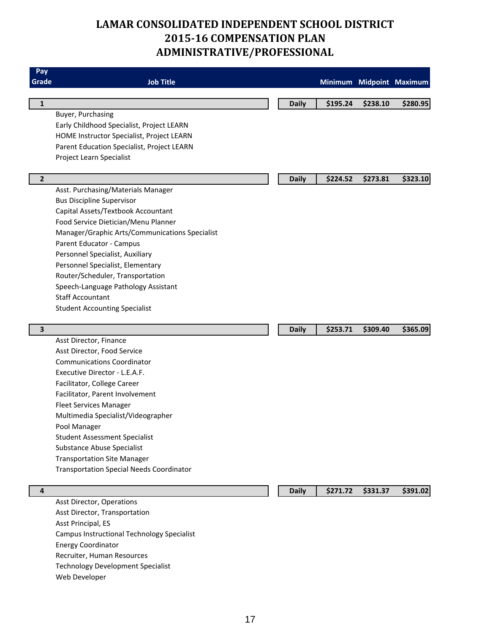### **LAMAR CONSOLIDATED INDEPENDENT SCHOOL DISTRICT 2015‐16 COMPENSATION PLAN ADMINISTRATIVE/PROFESSIONAL**

| Grade<br><b>Job Title</b><br>$\mathbf{1}$<br><b>Daily</b><br>\$195.24<br>\$238.10<br>Buyer, Purchasing<br>Early Childhood Specialist, Project LEARN<br>HOME Instructor Specialist, Project LEARN<br>Parent Education Specialist, Project LEARN<br>Project Learn Specialist<br>$\mathbf{2}$<br><b>Daily</b><br>\$224.52<br>\$273.81<br>Asst. Purchasing/Materials Manager<br><b>Bus Discipline Supervisor</b><br>Capital Assets/Textbook Accountant<br>Food Service Dietician/Menu Planner<br>Manager/Graphic Arts/Communications Specialist<br>Parent Educator - Campus<br>Personnel Specialist, Auxiliary<br>Personnel Specialist, Elementary<br>Router/Scheduler, Transportation<br>Speech-Language Pathology Assistant<br><b>Staff Accountant</b><br><b>Student Accounting Specialist</b><br>3<br>\$253.71<br>\$309.40<br><b>Daily</b><br>Asst Director, Finance<br>Asst Director, Food Service | Minimum Midpoint Maximum<br>\$280.95<br>\$323.10 | \$365.09                                        | Pay |  |  |  |  |  |
|----------------------------------------------------------------------------------------------------------------------------------------------------------------------------------------------------------------------------------------------------------------------------------------------------------------------------------------------------------------------------------------------------------------------------------------------------------------------------------------------------------------------------------------------------------------------------------------------------------------------------------------------------------------------------------------------------------------------------------------------------------------------------------------------------------------------------------------------------------------------------------------------------|--------------------------------------------------|-------------------------------------------------|-----|--|--|--|--|--|
|                                                                                                                                                                                                                                                                                                                                                                                                                                                                                                                                                                                                                                                                                                                                                                                                                                                                                                    |                                                  |                                                 |     |  |  |  |  |  |
|                                                                                                                                                                                                                                                                                                                                                                                                                                                                                                                                                                                                                                                                                                                                                                                                                                                                                                    |                                                  |                                                 |     |  |  |  |  |  |
|                                                                                                                                                                                                                                                                                                                                                                                                                                                                                                                                                                                                                                                                                                                                                                                                                                                                                                    |                                                  |                                                 |     |  |  |  |  |  |
|                                                                                                                                                                                                                                                                                                                                                                                                                                                                                                                                                                                                                                                                                                                                                                                                                                                                                                    |                                                  |                                                 |     |  |  |  |  |  |
|                                                                                                                                                                                                                                                                                                                                                                                                                                                                                                                                                                                                                                                                                                                                                                                                                                                                                                    |                                                  |                                                 |     |  |  |  |  |  |
|                                                                                                                                                                                                                                                                                                                                                                                                                                                                                                                                                                                                                                                                                                                                                                                                                                                                                                    |                                                  |                                                 |     |  |  |  |  |  |
|                                                                                                                                                                                                                                                                                                                                                                                                                                                                                                                                                                                                                                                                                                                                                                                                                                                                                                    |                                                  |                                                 |     |  |  |  |  |  |
|                                                                                                                                                                                                                                                                                                                                                                                                                                                                                                                                                                                                                                                                                                                                                                                                                                                                                                    |                                                  |                                                 |     |  |  |  |  |  |
|                                                                                                                                                                                                                                                                                                                                                                                                                                                                                                                                                                                                                                                                                                                                                                                                                                                                                                    |                                                  |                                                 |     |  |  |  |  |  |
|                                                                                                                                                                                                                                                                                                                                                                                                                                                                                                                                                                                                                                                                                                                                                                                                                                                                                                    |                                                  |                                                 |     |  |  |  |  |  |
|                                                                                                                                                                                                                                                                                                                                                                                                                                                                                                                                                                                                                                                                                                                                                                                                                                                                                                    |                                                  |                                                 |     |  |  |  |  |  |
|                                                                                                                                                                                                                                                                                                                                                                                                                                                                                                                                                                                                                                                                                                                                                                                                                                                                                                    |                                                  |                                                 |     |  |  |  |  |  |
|                                                                                                                                                                                                                                                                                                                                                                                                                                                                                                                                                                                                                                                                                                                                                                                                                                                                                                    |                                                  |                                                 |     |  |  |  |  |  |
|                                                                                                                                                                                                                                                                                                                                                                                                                                                                                                                                                                                                                                                                                                                                                                                                                                                                                                    |                                                  |                                                 |     |  |  |  |  |  |
|                                                                                                                                                                                                                                                                                                                                                                                                                                                                                                                                                                                                                                                                                                                                                                                                                                                                                                    |                                                  |                                                 |     |  |  |  |  |  |
|                                                                                                                                                                                                                                                                                                                                                                                                                                                                                                                                                                                                                                                                                                                                                                                                                                                                                                    |                                                  |                                                 |     |  |  |  |  |  |
|                                                                                                                                                                                                                                                                                                                                                                                                                                                                                                                                                                                                                                                                                                                                                                                                                                                                                                    |                                                  |                                                 |     |  |  |  |  |  |
|                                                                                                                                                                                                                                                                                                                                                                                                                                                                                                                                                                                                                                                                                                                                                                                                                                                                                                    |                                                  |                                                 |     |  |  |  |  |  |
|                                                                                                                                                                                                                                                                                                                                                                                                                                                                                                                                                                                                                                                                                                                                                                                                                                                                                                    |                                                  |                                                 |     |  |  |  |  |  |
|                                                                                                                                                                                                                                                                                                                                                                                                                                                                                                                                                                                                                                                                                                                                                                                                                                                                                                    |                                                  |                                                 |     |  |  |  |  |  |
|                                                                                                                                                                                                                                                                                                                                                                                                                                                                                                                                                                                                                                                                                                                                                                                                                                                                                                    |                                                  |                                                 |     |  |  |  |  |  |
|                                                                                                                                                                                                                                                                                                                                                                                                                                                                                                                                                                                                                                                                                                                                                                                                                                                                                                    |                                                  |                                                 |     |  |  |  |  |  |
|                                                                                                                                                                                                                                                                                                                                                                                                                                                                                                                                                                                                                                                                                                                                                                                                                                                                                                    |                                                  |                                                 |     |  |  |  |  |  |
|                                                                                                                                                                                                                                                                                                                                                                                                                                                                                                                                                                                                                                                                                                                                                                                                                                                                                                    |                                                  |                                                 |     |  |  |  |  |  |
|                                                                                                                                                                                                                                                                                                                                                                                                                                                                                                                                                                                                                                                                                                                                                                                                                                                                                                    |                                                  |                                                 |     |  |  |  |  |  |
|                                                                                                                                                                                                                                                                                                                                                                                                                                                                                                                                                                                                                                                                                                                                                                                                                                                                                                    |                                                  |                                                 |     |  |  |  |  |  |
|                                                                                                                                                                                                                                                                                                                                                                                                                                                                                                                                                                                                                                                                                                                                                                                                                                                                                                    |                                                  |                                                 |     |  |  |  |  |  |
|                                                                                                                                                                                                                                                                                                                                                                                                                                                                                                                                                                                                                                                                                                                                                                                                                                                                                                    |                                                  | <b>Communications Coordinator</b>               |     |  |  |  |  |  |
|                                                                                                                                                                                                                                                                                                                                                                                                                                                                                                                                                                                                                                                                                                                                                                                                                                                                                                    |                                                  | Executive Director - L.E.A.F.                   |     |  |  |  |  |  |
|                                                                                                                                                                                                                                                                                                                                                                                                                                                                                                                                                                                                                                                                                                                                                                                                                                                                                                    |                                                  | Facilitator, College Career                     |     |  |  |  |  |  |
|                                                                                                                                                                                                                                                                                                                                                                                                                                                                                                                                                                                                                                                                                                                                                                                                                                                                                                    |                                                  | Facilitator, Parent Involvement                 |     |  |  |  |  |  |
|                                                                                                                                                                                                                                                                                                                                                                                                                                                                                                                                                                                                                                                                                                                                                                                                                                                                                                    |                                                  | <b>Fleet Services Manager</b>                   |     |  |  |  |  |  |
|                                                                                                                                                                                                                                                                                                                                                                                                                                                                                                                                                                                                                                                                                                                                                                                                                                                                                                    |                                                  | Multimedia Specialist/Videographer              |     |  |  |  |  |  |
|                                                                                                                                                                                                                                                                                                                                                                                                                                                                                                                                                                                                                                                                                                                                                                                                                                                                                                    |                                                  | Pool Manager                                    |     |  |  |  |  |  |
|                                                                                                                                                                                                                                                                                                                                                                                                                                                                                                                                                                                                                                                                                                                                                                                                                                                                                                    |                                                  | <b>Student Assessment Specialist</b>            |     |  |  |  |  |  |
|                                                                                                                                                                                                                                                                                                                                                                                                                                                                                                                                                                                                                                                                                                                                                                                                                                                                                                    |                                                  | <b>Substance Abuse Specialist</b>               |     |  |  |  |  |  |
|                                                                                                                                                                                                                                                                                                                                                                                                                                                                                                                                                                                                                                                                                                                                                                                                                                                                                                    |                                                  | <b>Transportation Site Manager</b>              |     |  |  |  |  |  |
|                                                                                                                                                                                                                                                                                                                                                                                                                                                                                                                                                                                                                                                                                                                                                                                                                                                                                                    |                                                  | <b>Transportation Special Needs Coordinator</b> |     |  |  |  |  |  |
|                                                                                                                                                                                                                                                                                                                                                                                                                                                                                                                                                                                                                                                                                                                                                                                                                                                                                                    |                                                  |                                                 |     |  |  |  |  |  |
| 4<br><b>Daily</b><br>\$271.72<br>\$331.37                                                                                                                                                                                                                                                                                                                                                                                                                                                                                                                                                                                                                                                                                                                                                                                                                                                          | \$391.02                                         |                                                 |     |  |  |  |  |  |
| <b>Asst Director, Operations</b>                                                                                                                                                                                                                                                                                                                                                                                                                                                                                                                                                                                                                                                                                                                                                                                                                                                                   |                                                  |                                                 |     |  |  |  |  |  |
| Asst Director, Transportation                                                                                                                                                                                                                                                                                                                                                                                                                                                                                                                                                                                                                                                                                                                                                                                                                                                                      |                                                  |                                                 |     |  |  |  |  |  |
| Asst Principal, ES                                                                                                                                                                                                                                                                                                                                                                                                                                                                                                                                                                                                                                                                                                                                                                                                                                                                                 |                                                  |                                                 |     |  |  |  |  |  |
| Campus Instructional Technology Specialist                                                                                                                                                                                                                                                                                                                                                                                                                                                                                                                                                                                                                                                                                                                                                                                                                                                         |                                                  |                                                 |     |  |  |  |  |  |
| <b>Energy Coordinator</b>                                                                                                                                                                                                                                                                                                                                                                                                                                                                                                                                                                                                                                                                                                                                                                                                                                                                          |                                                  |                                                 |     |  |  |  |  |  |
| Recruiter, Human Resources                                                                                                                                                                                                                                                                                                                                                                                                                                                                                                                                                                                                                                                                                                                                                                                                                                                                         |                                                  |                                                 |     |  |  |  |  |  |
|                                                                                                                                                                                                                                                                                                                                                                                                                                                                                                                                                                                                                                                                                                                                                                                                                                                                                                    |                                                  |                                                 |     |  |  |  |  |  |
|                                                                                                                                                                                                                                                                                                                                                                                                                                                                                                                                                                                                                                                                                                                                                                                                                                                                                                    |                                                  |                                                 |     |  |  |  |  |  |
|                                                                                                                                                                                                                                                                                                                                                                                                                                                                                                                                                                                                                                                                                                                                                                                                                                                                                                    |                                                  |                                                 |     |  |  |  |  |  |
|                                                                                                                                                                                                                                                                                                                                                                                                                                                                                                                                                                                                                                                                                                                                                                                                                                                                                                    |                                                  |                                                 |     |  |  |  |  |  |
|                                                                                                                                                                                                                                                                                                                                                                                                                                                                                                                                                                                                                                                                                                                                                                                                                                                                                                    |                                                  |                                                 |     |  |  |  |  |  |
|                                                                                                                                                                                                                                                                                                                                                                                                                                                                                                                                                                                                                                                                                                                                                                                                                                                                                                    |                                                  |                                                 |     |  |  |  |  |  |
|                                                                                                                                                                                                                                                                                                                                                                                                                                                                                                                                                                                                                                                                                                                                                                                                                                                                                                    |                                                  |                                                 |     |  |  |  |  |  |
|                                                                                                                                                                                                                                                                                                                                                                                                                                                                                                                                                                                                                                                                                                                                                                                                                                                                                                    |                                                  |                                                 |     |  |  |  |  |  |
|                                                                                                                                                                                                                                                                                                                                                                                                                                                                                                                                                                                                                                                                                                                                                                                                                                                                                                    |                                                  |                                                 |     |  |  |  |  |  |
|                                                                                                                                                                                                                                                                                                                                                                                                                                                                                                                                                                                                                                                                                                                                                                                                                                                                                                    |                                                  |                                                 |     |  |  |  |  |  |
|                                                                                                                                                                                                                                                                                                                                                                                                                                                                                                                                                                                                                                                                                                                                                                                                                                                                                                    |                                                  |                                                 |     |  |  |  |  |  |
|                                                                                                                                                                                                                                                                                                                                                                                                                                                                                                                                                                                                                                                                                                                                                                                                                                                                                                    |                                                  |                                                 |     |  |  |  |  |  |
|                                                                                                                                                                                                                                                                                                                                                                                                                                                                                                                                                                                                                                                                                                                                                                                                                                                                                                    |                                                  |                                                 |     |  |  |  |  |  |
|                                                                                                                                                                                                                                                                                                                                                                                                                                                                                                                                                                                                                                                                                                                                                                                                                                                                                                    |                                                  |                                                 |     |  |  |  |  |  |
|                                                                                                                                                                                                                                                                                                                                                                                                                                                                                                                                                                                                                                                                                                                                                                                                                                                                                                    |                                                  |                                                 |     |  |  |  |  |  |
|                                                                                                                                                                                                                                                                                                                                                                                                                                                                                                                                                                                                                                                                                                                                                                                                                                                                                                    |                                                  |                                                 |     |  |  |  |  |  |
|                                                                                                                                                                                                                                                                                                                                                                                                                                                                                                                                                                                                                                                                                                                                                                                                                                                                                                    |                                                  |                                                 |     |  |  |  |  |  |
|                                                                                                                                                                                                                                                                                                                                                                                                                                                                                                                                                                                                                                                                                                                                                                                                                                                                                                    |                                                  |                                                 |     |  |  |  |  |  |
|                                                                                                                                                                                                                                                                                                                                                                                                                                                                                                                                                                                                                                                                                                                                                                                                                                                                                                    |                                                  |                                                 |     |  |  |  |  |  |
|                                                                                                                                                                                                                                                                                                                                                                                                                                                                                                                                                                                                                                                                                                                                                                                                                                                                                                    |                                                  |                                                 |     |  |  |  |  |  |
|                                                                                                                                                                                                                                                                                                                                                                                                                                                                                                                                                                                                                                                                                                                                                                                                                                                                                                    |                                                  |                                                 |     |  |  |  |  |  |
|                                                                                                                                                                                                                                                                                                                                                                                                                                                                                                                                                                                                                                                                                                                                                                                                                                                                                                    |                                                  |                                                 |     |  |  |  |  |  |
|                                                                                                                                                                                                                                                                                                                                                                                                                                                                                                                                                                                                                                                                                                                                                                                                                                                                                                    |                                                  |                                                 |     |  |  |  |  |  |
|                                                                                                                                                                                                                                                                                                                                                                                                                                                                                                                                                                                                                                                                                                                                                                                                                                                                                                    |                                                  |                                                 |     |  |  |  |  |  |
|                                                                                                                                                                                                                                                                                                                                                                                                                                                                                                                                                                                                                                                                                                                                                                                                                                                                                                    |                                                  |                                                 |     |  |  |  |  |  |
| <b>Technology Development Specialist</b>                                                                                                                                                                                                                                                                                                                                                                                                                                                                                                                                                                                                                                                                                                                                                                                                                                                           |                                                  |                                                 |     |  |  |  |  |  |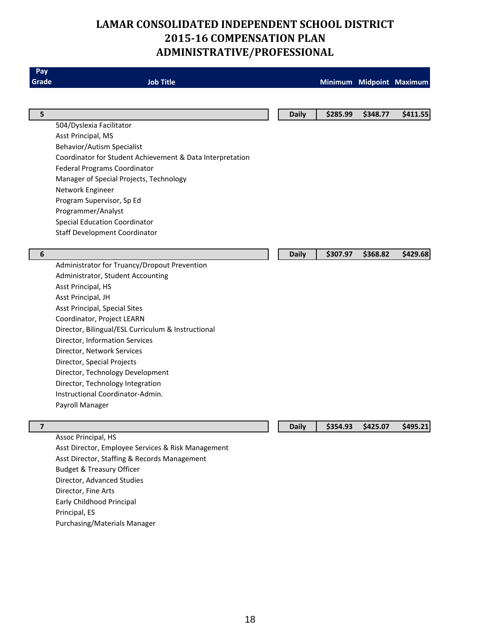### **LAMAR CONSOLIDATED INDEPENDENT SCHOOL DISTRICT 2015‐16 COMPENSATION PLAN ADMINISTRATIVE/PROFESSIONAL**

| Pay                     |                                                           |              |          |          |                          |
|-------------------------|-----------------------------------------------------------|--------------|----------|----------|--------------------------|
| Grade                   | <b>Job Title</b>                                          |              |          |          | Minimum Midpoint Maximum |
|                         |                                                           |              |          |          |                          |
| 5                       |                                                           | <b>Daily</b> | \$285.99 | \$348.77 | \$411.55                 |
|                         | 504/Dyslexia Facilitator                                  |              |          |          |                          |
|                         | Asst Principal, MS                                        |              |          |          |                          |
|                         | <b>Behavior/Autism Specialist</b>                         |              |          |          |                          |
|                         | Coordinator for Student Achievement & Data Interpretation |              |          |          |                          |
|                         | <b>Federal Programs Coordinator</b>                       |              |          |          |                          |
|                         | Manager of Special Projects, Technology                   |              |          |          |                          |
|                         | Network Engineer                                          |              |          |          |                          |
|                         | Program Supervisor, Sp Ed                                 |              |          |          |                          |
|                         | Programmer/Analyst                                        |              |          |          |                          |
|                         | <b>Special Education Coordinator</b>                      |              |          |          |                          |
|                         | <b>Staff Development Coordinator</b>                      |              |          |          |                          |
|                         |                                                           |              |          |          |                          |
| 6                       |                                                           | <b>Daily</b> | \$307.97 | \$368.82 | \$429.68                 |
|                         | Administrator for Truancy/Dropout Prevention              |              |          |          |                          |
|                         | Administrator, Student Accounting                         |              |          |          |                          |
|                         | Asst Principal, HS                                        |              |          |          |                          |
|                         | Asst Principal, JH                                        |              |          |          |                          |
|                         | Asst Principal, Special Sites                             |              |          |          |                          |
|                         | Coordinator, Project LEARN                                |              |          |          |                          |
|                         | Director, Bilingual/ESL Curriculum & Instructional        |              |          |          |                          |
|                         | Director, Information Services                            |              |          |          |                          |
|                         | Director, Network Services                                |              |          |          |                          |
|                         | Director, Special Projects                                |              |          |          |                          |
|                         | Director, Technology Development                          |              |          |          |                          |
|                         | Director, Technology Integration                          |              |          |          |                          |
|                         | Instructional Coordinator-Admin.                          |              |          |          |                          |
|                         | Payroll Manager                                           |              |          |          |                          |
|                         |                                                           |              |          |          |                          |
| $\overline{\mathbf{z}}$ |                                                           | <b>Daily</b> | \$354.93 | \$425.07 | \$495.21                 |
|                         | Assoc Principal, HS                                       |              |          |          |                          |
|                         | Asst Director, Employee Services & Risk Management        |              |          |          |                          |
|                         | Asst Director, Staffing & Records Management              |              |          |          |                          |
|                         | <b>Budget &amp; Treasury Officer</b>                      |              |          |          |                          |
|                         | Director, Advanced Studies                                |              |          |          |                          |
|                         | Director, Fine Arts                                       |              |          |          |                          |
|                         | Early Childhood Principal                                 |              |          |          |                          |

Principal, ES

Purchasing/Materials Manager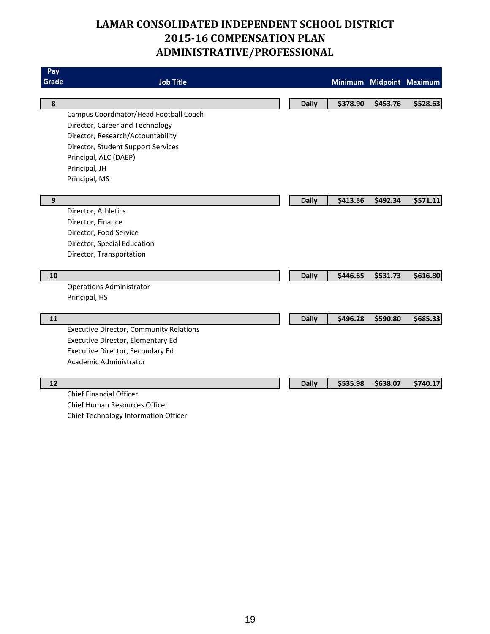### **LAMAR CONSOLIDATED INDEPENDENT SCHOOL DISTRICT 2015‐16 COMPENSATION PLAN ADMINISTRATIVE/PROFESSIONAL**

| Pay   |                                                |              |          |          |                          |
|-------|------------------------------------------------|--------------|----------|----------|--------------------------|
| Grade | <b>Job Title</b>                               |              |          |          | Minimum Midpoint Maximum |
|       |                                                |              |          |          |                          |
| 8     |                                                | <b>Daily</b> | \$378.90 | \$453.76 | \$528.63                 |
|       | Campus Coordinator/Head Football Coach         |              |          |          |                          |
|       | Director, Career and Technology                |              |          |          |                          |
|       | Director, Research/Accountability              |              |          |          |                          |
|       | Director, Student Support Services             |              |          |          |                          |
|       | Principal, ALC (DAEP)                          |              |          |          |                          |
|       | Principal, JH                                  |              |          |          |                          |
|       | Principal, MS                                  |              |          |          |                          |
|       |                                                |              |          |          |                          |
| 9     |                                                | <b>Daily</b> | \$413.56 | \$492.34 | \$571.11                 |
|       | Director, Athletics                            |              |          |          |                          |
|       | Director, Finance                              |              |          |          |                          |
|       | Director, Food Service                         |              |          |          |                          |
|       | Director, Special Education                    |              |          |          |                          |
|       | Director, Transportation                       |              |          |          |                          |
|       |                                                |              |          |          |                          |
| 10    |                                                | <b>Daily</b> | \$446.65 | \$531.73 | \$616.80                 |
|       | <b>Operations Administrator</b>                |              |          |          |                          |
|       | Principal, HS                                  |              |          |          |                          |
|       |                                                |              |          |          |                          |
| 11    |                                                | <b>Daily</b> | \$496.28 | \$590.80 | \$685.33                 |
|       | <b>Executive Director, Community Relations</b> |              |          |          |                          |
|       | Executive Director, Elementary Ed              |              |          |          |                          |
|       | Executive Director, Secondary Ed               |              |          |          |                          |
|       | Academic Administrator                         |              |          |          |                          |
|       |                                                |              |          |          |                          |
| 12    |                                                | <b>Daily</b> | \$535.98 | \$638.07 | \$740.17                 |
|       | <b>Chief Financial Officer</b>                 |              |          |          |                          |
|       | <b>Chief Human Resources Officer</b>           |              |          |          |                          |

Chief Technology Information Officer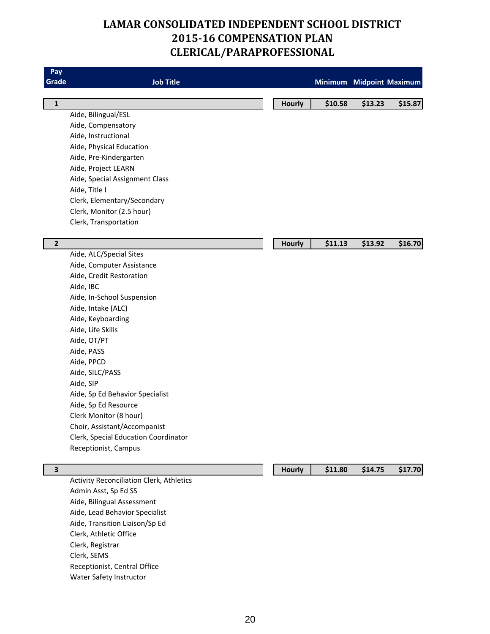### **LAMAR CONSOLIDATED INDEPENDENT SCHOOL DISTRICT 2015‐16 COMPENSATION PLAN CLERICAL/PARAPROFESSIONAL**

| Pay<br>Grade            | <b>Job Title</b>                         |               |         |         | Minimum Midpoint Maximum |
|-------------------------|------------------------------------------|---------------|---------|---------|--------------------------|
|                         |                                          |               |         |         |                          |
| $\mathbf 1$             |                                          | Hourly        | \$10.58 | \$13.23 | \$15.87                  |
|                         | Aide, Bilingual/ESL                      |               |         |         |                          |
|                         | Aide, Compensatory                       |               |         |         |                          |
|                         | Aide, Instructional                      |               |         |         |                          |
|                         | Aide, Physical Education                 |               |         |         |                          |
|                         | Aide, Pre-Kindergarten                   |               |         |         |                          |
|                         | Aide, Project LEARN                      |               |         |         |                          |
|                         | Aide, Special Assignment Class           |               |         |         |                          |
|                         | Aide, Title I                            |               |         |         |                          |
|                         | Clerk, Elementary/Secondary              |               |         |         |                          |
|                         | Clerk, Monitor (2.5 hour)                |               |         |         |                          |
|                         | Clerk, Transportation                    |               |         |         |                          |
|                         |                                          |               |         |         |                          |
| $\overline{2}$          |                                          | <b>Hourly</b> | \$11.13 | \$13.92 | \$16.70                  |
|                         | Aide, ALC/Special Sites                  |               |         |         |                          |
|                         | Aide, Computer Assistance                |               |         |         |                          |
|                         | Aide, Credit Restoration                 |               |         |         |                          |
|                         | Aide, IBC                                |               |         |         |                          |
|                         | Aide, In-School Suspension               |               |         |         |                          |
|                         | Aide, Intake (ALC)                       |               |         |         |                          |
|                         | Aide, Keyboarding                        |               |         |         |                          |
|                         | Aide, Life Skills                        |               |         |         |                          |
|                         | Aide, OT/PT                              |               |         |         |                          |
|                         | Aide, PASS                               |               |         |         |                          |
|                         | Aide, PPCD                               |               |         |         |                          |
|                         | Aide, SILC/PASS                          |               |         |         |                          |
|                         | Aide, SIP                                |               |         |         |                          |
|                         | Aide, Sp Ed Behavior Specialist          |               |         |         |                          |
|                         | Aide, Sp Ed Resource                     |               |         |         |                          |
|                         | Clerk Monitor (8 hour)                   |               |         |         |                          |
|                         | Choir, Assistant/Accompanist             |               |         |         |                          |
|                         | Clerk, Special Education Coordinator     |               |         |         |                          |
|                         | Receptionist, Campus                     |               |         |         |                          |
|                         |                                          |               |         |         |                          |
| $\overline{\mathbf{3}}$ | Activity Reconciliation Clerk, Athletics | Hourly        | \$11.80 | \$14.75 | \$17.70                  |
|                         | Admin Asst, Sp Ed SS                     |               |         |         |                          |
|                         | Aide, Bilingual Assessment               |               |         |         |                          |
|                         | Aide, Lead Behavior Specialist           |               |         |         |                          |
|                         | Aide, Transition Liaison/Sp Ed           |               |         |         |                          |
|                         |                                          |               |         |         |                          |

Clerk, Athletic Office

Clerk, Registrar

Clerk, SEMS

Receptionist, Central Office

Water Safety Instructor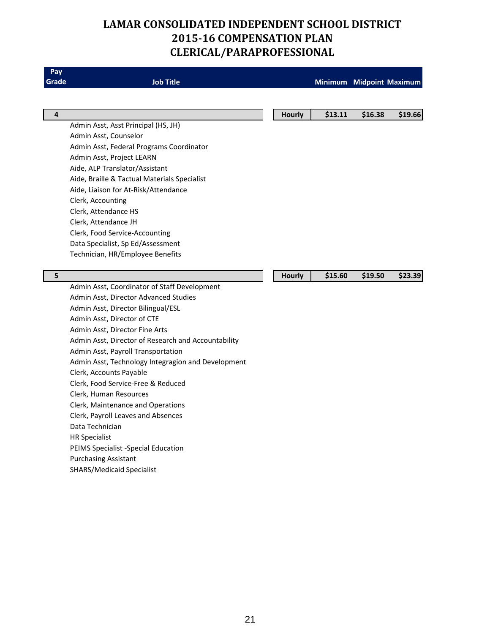### **LAMAR CONSOLIDATED INDEPENDENT SCHOOL DISTRICT 2015‐16 COMPENSATION PLAN CLERICAL/PARAPROFESSIONAL**

| Pay   |                                                     |               |         |                          |         |
|-------|-----------------------------------------------------|---------------|---------|--------------------------|---------|
| Grade | <b>Job Title</b>                                    |               |         | Minimum Midpoint Maximum |         |
|       |                                                     |               |         |                          |         |
| 4     |                                                     | <b>Hourly</b> | \$13.11 | \$16.38                  | \$19.66 |
|       | Admin Asst, Asst Principal (HS, JH)                 |               |         |                          |         |
|       | Admin Asst, Counselor                               |               |         |                          |         |
|       | Admin Asst, Federal Programs Coordinator            |               |         |                          |         |
|       | Admin Asst, Project LEARN                           |               |         |                          |         |
|       | Aide, ALP Translator/Assistant                      |               |         |                          |         |
|       | Aide, Braille & Tactual Materials Specialist        |               |         |                          |         |
|       | Aide, Liaison for At-Risk/Attendance                |               |         |                          |         |
|       | Clerk, Accounting                                   |               |         |                          |         |
|       | Clerk, Attendance HS                                |               |         |                          |         |
|       | Clerk, Attendance JH                                |               |         |                          |         |
|       | Clerk, Food Service-Accounting                      |               |         |                          |         |
|       | Data Specialist, Sp Ed/Assessment                   |               |         |                          |         |
|       | Technician, HR/Employee Benefits                    |               |         |                          |         |
|       |                                                     |               |         |                          |         |
| 5     |                                                     | <b>Hourly</b> | \$15.60 | \$19.50                  | \$23.39 |
|       | Admin Asst, Coordinator of Staff Development        |               |         |                          |         |
|       | Admin Asst, Director Advanced Studies               |               |         |                          |         |
|       | Admin Asst, Director Bilingual/ESL                  |               |         |                          |         |
|       | Admin Asst, Director of CTE                         |               |         |                          |         |
|       | Admin Asst, Director Fine Arts                      |               |         |                          |         |
|       | Admin Asst, Director of Research and Accountability |               |         |                          |         |
|       | Admin Asst, Payroll Transportation                  |               |         |                          |         |
|       | Admin Asst, Technology Integragion and Development  |               |         |                          |         |
|       | Clerk, Accounts Payable                             |               |         |                          |         |
|       | Clerk, Food Service-Free & Reduced                  |               |         |                          |         |
|       | Clerk, Human Resources                              |               |         |                          |         |
|       | Clerk, Maintenance and Operations                   |               |         |                          |         |
|       | Clerk, Payroll Leaves and Absences                  |               |         |                          |         |
|       | Data Technician                                     |               |         |                          |         |
|       | <b>HR Specialist</b>                                |               |         |                          |         |
|       | PEIMS Specialist -Special Education                 |               |         |                          |         |
|       | <b>Purchasing Assistant</b>                         |               |         |                          |         |
|       | <b>SHARS/Medicaid Specialist</b>                    |               |         |                          |         |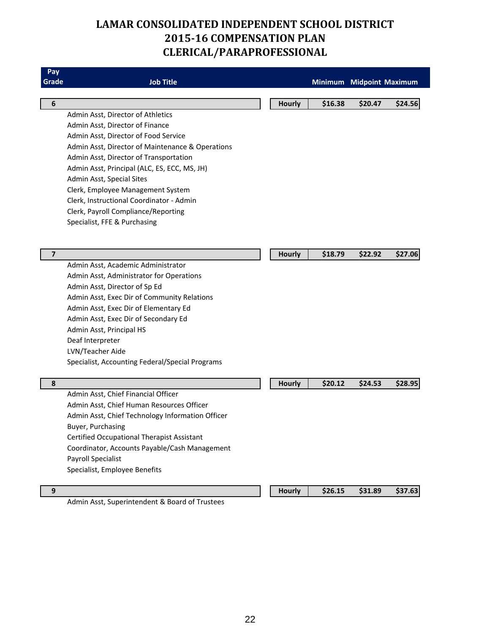### **LAMAR CONSOLIDATED INDEPENDENT SCHOOL DISTRICT 2015‐16 COMPENSATION PLAN CLERICAL/PARAPROFESSIONAL**

| Pay                     |                                                                 |               |         |                          |         |
|-------------------------|-----------------------------------------------------------------|---------------|---------|--------------------------|---------|
| Grade                   | <b>Job Title</b>                                                |               |         | Minimum Midpoint Maximum |         |
|                         |                                                                 |               |         |                          |         |
| $\boldsymbol{6}$        |                                                                 | <b>Hourly</b> | \$16.38 | \$20.47                  | \$24.56 |
|                         | Admin Asst, Director of Athletics                               |               |         |                          |         |
|                         | Admin Asst, Director of Finance                                 |               |         |                          |         |
|                         | Admin Asst, Director of Food Service                            |               |         |                          |         |
|                         | Admin Asst, Director of Maintenance & Operations                |               |         |                          |         |
|                         | Admin Asst, Director of Transportation                          |               |         |                          |         |
|                         | Admin Asst, Principal (ALC, ES, ECC, MS, JH)                    |               |         |                          |         |
|                         | Admin Asst, Special Sites                                       |               |         |                          |         |
|                         | Clerk, Employee Management System                               |               |         |                          |         |
|                         | Clerk, Instructional Coordinator - Admin                        |               |         |                          |         |
|                         | Clerk, Payroll Compliance/Reporting                             |               |         |                          |         |
|                         | Specialist, FFE & Purchasing                                    |               |         |                          |         |
|                         |                                                                 |               |         |                          |         |
|                         |                                                                 |               |         |                          |         |
| $\overline{\mathbf{z}}$ |                                                                 | <b>Hourly</b> | \$18.79 | \$22.92                  | \$27.06 |
|                         | Admin Asst, Academic Administrator                              |               |         |                          |         |
|                         | Admin Asst, Administrator for Operations                        |               |         |                          |         |
|                         | Admin Asst, Director of Sp Ed                                   |               |         |                          |         |
|                         | Admin Asst, Exec Dir of Community Relations                     |               |         |                          |         |
|                         | Admin Asst, Exec Dir of Elementary Ed                           |               |         |                          |         |
|                         | Admin Asst, Exec Dir of Secondary Ed                            |               |         |                          |         |
|                         | Admin Asst, Principal HS                                        |               |         |                          |         |
|                         | Deaf Interpreter                                                |               |         |                          |         |
|                         | LVN/Teacher Aide                                                |               |         |                          |         |
|                         | Specialist, Accounting Federal/Special Programs                 |               |         |                          |         |
| $\pmb{8}$               |                                                                 | <b>Hourly</b> | \$20.12 | \$24.53                  | \$28.95 |
|                         | Admin Asst, Chief Financial Officer                             |               |         |                          |         |
|                         | Admin Asst, Chief Human Resources Officer                       |               |         |                          |         |
|                         | Admin Asst, Chief Technology Information Officer                |               |         |                          |         |
|                         |                                                                 |               |         |                          |         |
|                         | Buyer, Purchasing<br>Certified Occupational Therapist Assistant |               |         |                          |         |
|                         |                                                                 |               |         |                          |         |
|                         | Coordinator, Accounts Payable/Cash Management                   |               |         |                          |         |
|                         | <b>Payroll Specialist</b>                                       |               |         |                          |         |
|                         | Specialist, Employee Benefits                                   |               |         |                          |         |
| 9                       |                                                                 | <b>Hourly</b> | \$26.15 | \$31.89                  | \$37.63 |
|                         |                                                                 |               |         |                          |         |

Admin Asst, Superintendent & Board of Trustees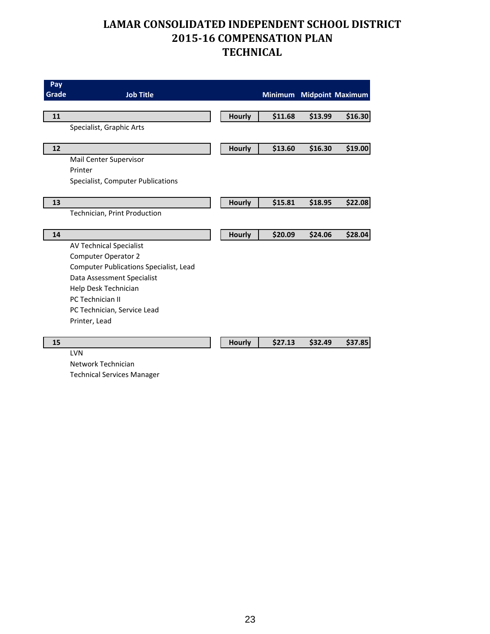| Pay<br>Grade | <b>Job Title</b>                              |               |         |         | Minimum Midpoint Maximum |
|--------------|-----------------------------------------------|---------------|---------|---------|--------------------------|
|              |                                               |               |         |         |                          |
| 11           |                                               | <b>Hourly</b> | \$11.68 | \$13.99 | \$16.30                  |
|              | Specialist, Graphic Arts                      |               |         |         |                          |
| 12           |                                               | <b>Hourly</b> | \$13.60 | \$16.30 | \$19.00                  |
|              | Mail Center Supervisor                        |               |         |         |                          |
|              | Printer                                       |               |         |         |                          |
|              | Specialist, Computer Publications             |               |         |         |                          |
| 13           |                                               | <b>Hourly</b> | \$15.81 | \$18.95 | \$22.08                  |
|              | Technician, Print Production                  |               |         |         |                          |
|              |                                               |               |         |         |                          |
| 14           |                                               | <b>Hourly</b> | \$20.09 | \$24.06 | \$28.04                  |
|              | <b>AV Technical Specialist</b>                |               |         |         |                          |
|              | <b>Computer Operator 2</b>                    |               |         |         |                          |
|              | <b>Computer Publications Specialist, Lead</b> |               |         |         |                          |
|              | Data Assessment Specialist                    |               |         |         |                          |
|              | Help Desk Technician                          |               |         |         |                          |
|              | <b>PC Technician II</b>                       |               |         |         |                          |
|              | PC Technician, Service Lead                   |               |         |         |                          |
|              | Printer, Lead                                 |               |         |         |                          |
| 15           |                                               | <b>Hourly</b> | \$27.13 | \$32.49 | \$37.85                  |
|              | LVN                                           |               |         |         |                          |

Network Technician Technical Services Manager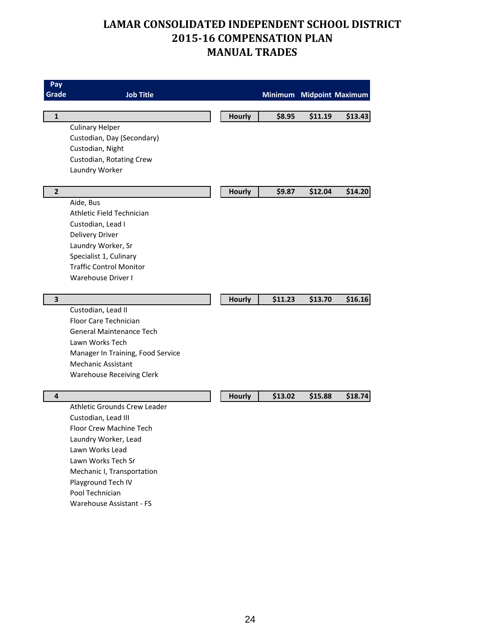| Pay            |                                            |               |         |                          |         |
|----------------|--------------------------------------------|---------------|---------|--------------------------|---------|
| Grade          | <b>Job Title</b>                           |               |         | Minimum Midpoint Maximum |         |
|                |                                            |               |         |                          |         |
| $\mathbf 1$    |                                            | <b>Hourly</b> | \$8.95  | \$11.19                  | \$13.43 |
|                | <b>Culinary Helper</b>                     |               |         |                          |         |
|                | Custodian, Day (Secondary)                 |               |         |                          |         |
|                | Custodian, Night                           |               |         |                          |         |
|                | Custodian, Rotating Crew<br>Laundry Worker |               |         |                          |         |
|                |                                            |               |         |                          |         |
| $\mathbf{2}$   |                                            | <b>Hourly</b> | \$9.87  | \$12.04                  | \$14.20 |
|                | Aide, Bus                                  |               |         |                          |         |
|                | Athletic Field Technician                  |               |         |                          |         |
|                | Custodian, Lead I                          |               |         |                          |         |
|                | <b>Delivery Driver</b>                     |               |         |                          |         |
|                | Laundry Worker, Sr                         |               |         |                          |         |
|                | Specialist 1, Culinary                     |               |         |                          |         |
|                | <b>Traffic Control Monitor</b>             |               |         |                          |         |
|                | Warehouse Driver I                         |               |         |                          |         |
|                |                                            |               |         |                          |         |
| 3              |                                            | Hourly        | \$11.23 | \$13.70                  | \$16.16 |
|                | Custodian, Lead II                         |               |         |                          |         |
|                | Floor Care Technician                      |               |         |                          |         |
|                | General Maintenance Tech                   |               |         |                          |         |
|                | Lawn Works Tech                            |               |         |                          |         |
|                | Manager In Training, Food Service          |               |         |                          |         |
|                | <b>Mechanic Assistant</b>                  |               |         |                          |         |
|                | <b>Warehouse Receiving Clerk</b>           |               |         |                          |         |
| $\overline{4}$ |                                            | <b>Hourly</b> | \$13.02 | \$15.88                  | \$18.74 |
|                | Athletic Grounds Crew Leader               |               |         |                          |         |
|                | Custodian, Lead III                        |               |         |                          |         |
|                | Floor Crew Machine Tech                    |               |         |                          |         |
|                | Laundry Worker, Lead                       |               |         |                          |         |
|                | Lawn Works Lead                            |               |         |                          |         |
|                | Lawn Works Tech Sr                         |               |         |                          |         |
|                | Mechanic I, Transportation                 |               |         |                          |         |
|                | Playground Tech IV                         |               |         |                          |         |
|                | Pool Technician                            |               |         |                          |         |
|                | Warehouse Assistant - FS                   |               |         |                          |         |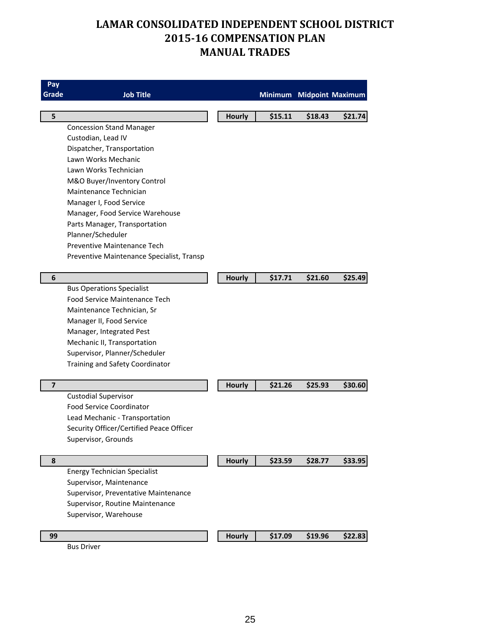| Pay                     |                                           |               |         |                          |         |
|-------------------------|-------------------------------------------|---------------|---------|--------------------------|---------|
| Grade                   | <b>Job Title</b>                          |               |         | Minimum Midpoint Maximum |         |
|                         |                                           |               |         |                          |         |
| 5                       |                                           | <b>Hourly</b> | \$15.11 | \$18.43                  | \$21.74 |
|                         | <b>Concession Stand Manager</b>           |               |         |                          |         |
|                         | Custodian, Lead IV                        |               |         |                          |         |
|                         | Dispatcher, Transportation                |               |         |                          |         |
|                         | Lawn Works Mechanic                       |               |         |                          |         |
|                         | Lawn Works Technician                     |               |         |                          |         |
|                         | M&O Buyer/Inventory Control               |               |         |                          |         |
|                         | Maintenance Technician                    |               |         |                          |         |
|                         | Manager I, Food Service                   |               |         |                          |         |
|                         | Manager, Food Service Warehouse           |               |         |                          |         |
|                         | Parts Manager, Transportation             |               |         |                          |         |
|                         | Planner/Scheduler                         |               |         |                          |         |
|                         | Preventive Maintenance Tech               |               |         |                          |         |
|                         | Preventive Maintenance Specialist, Transp |               |         |                          |         |
|                         |                                           |               |         |                          |         |
| 6                       |                                           | <b>Hourly</b> | \$17.71 | \$21.60                  | \$25.49 |
|                         | <b>Bus Operations Specialist</b>          |               |         |                          |         |
|                         | <b>Food Service Maintenance Tech</b>      |               |         |                          |         |
|                         | Maintenance Technician, Sr                |               |         |                          |         |
|                         | Manager II, Food Service                  |               |         |                          |         |
|                         | Manager, Integrated Pest                  |               |         |                          |         |
|                         | Mechanic II, Transportation               |               |         |                          |         |
|                         | Supervisor, Planner/Scheduler             |               |         |                          |         |
|                         | Training and Safety Coordinator           |               |         |                          |         |
| $\overline{\mathbf{z}}$ |                                           | <b>Hourly</b> | \$21.26 | \$25.93                  | \$30.60 |
|                         | <b>Custodial Supervisor</b>               |               |         |                          |         |
|                         | <b>Food Service Coordinator</b>           |               |         |                          |         |
|                         | Lead Mechanic - Transportation            |               |         |                          |         |
|                         | Security Officer/Certified Peace Officer  |               |         |                          |         |
|                         | Supervisor, Grounds                       |               |         |                          |         |
|                         |                                           |               |         |                          |         |
| 8                       |                                           | <b>Hourly</b> | \$23.59 | \$28.77                  | \$33.95 |
|                         | <b>Energy Technician Specialist</b>       |               |         |                          |         |
|                         | Supervisor, Maintenance                   |               |         |                          |         |
|                         | Supervisor, Preventative Maintenance      |               |         |                          |         |
|                         | Supervisor, Routine Maintenance           |               |         |                          |         |
|                         | Supervisor, Warehouse                     |               |         |                          |         |
|                         |                                           |               |         |                          |         |
| 99                      |                                           | <b>Hourly</b> | \$17.09 | \$19.96                  | \$22.83 |
|                         | <b>Bus Driver</b>                         |               |         |                          |         |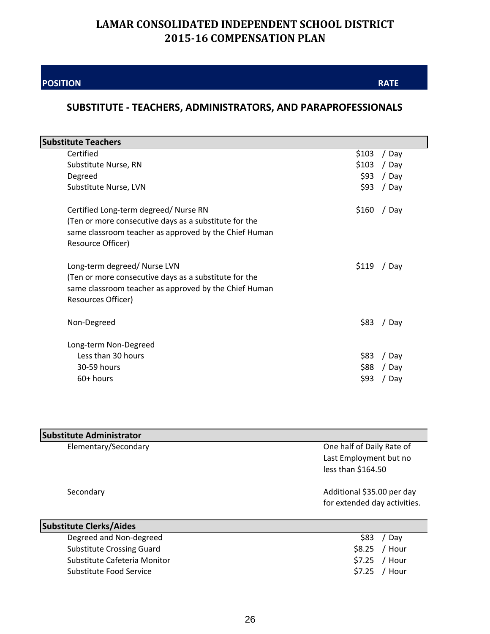#### **POSITION**

**RATE**

### **SUBSTITUTE ‐ TEACHERS, ADMINISTRATORS, AND PARAPROFESSIONALS**

| <b>Substitute Teachers</b> |                                                       |       |       |  |  |
|----------------------------|-------------------------------------------------------|-------|-------|--|--|
|                            | Certified                                             | \$103 | / Day |  |  |
|                            | Substitute Nurse, RN                                  | \$103 | / Day |  |  |
|                            | Degreed                                               | \$93  | / Day |  |  |
|                            | Substitute Nurse, LVN                                 | \$93  | / Day |  |  |
|                            | Certified Long-term degreed/ Nurse RN                 | \$160 | / Day |  |  |
|                            | (Ten or more consecutive days as a substitute for the |       |       |  |  |
|                            | same classroom teacher as approved by the Chief Human |       |       |  |  |
|                            | Resource Officer)                                     |       |       |  |  |
|                            | Long-term degreed/ Nurse LVN                          | \$119 | / Day |  |  |
|                            | (Ten or more consecutive days as a substitute for the |       |       |  |  |
|                            | same classroom teacher as approved by the Chief Human |       |       |  |  |
|                            | Resources Officer)                                    |       |       |  |  |
|                            | Non-Degreed                                           | \$83  | / Day |  |  |
|                            | Long-term Non-Degreed                                 |       |       |  |  |
|                            | Less than 30 hours                                    | \$83  | / Day |  |  |
|                            | 30-59 hours                                           | \$88  | / Day |  |  |
|                            | $60+$ hours                                           | \$93  | / Day |  |  |
|                            |                                                       |       |       |  |  |

| <b>Substitute Administrator</b>  |                              |  |  |  |
|----------------------------------|------------------------------|--|--|--|
| Elementary/Secondary             | One half of Daily Rate of    |  |  |  |
|                                  | Last Employment but no       |  |  |  |
|                                  | less than \$164.50           |  |  |  |
| Secondary                        | Additional \$35.00 per day   |  |  |  |
|                                  | for extended day activities. |  |  |  |
| <b>Substitute Clerks/Aides</b>   |                              |  |  |  |
| Degreed and Non-degreed          | \$83<br>Day                  |  |  |  |
| <b>Substitute Crossing Guard</b> | \$8.25<br>/ Hour             |  |  |  |
| Substitute Cafeteria Monitor     | \$7.25<br>/ Hour             |  |  |  |

Substitute Food Service **\$7.25** / Hour